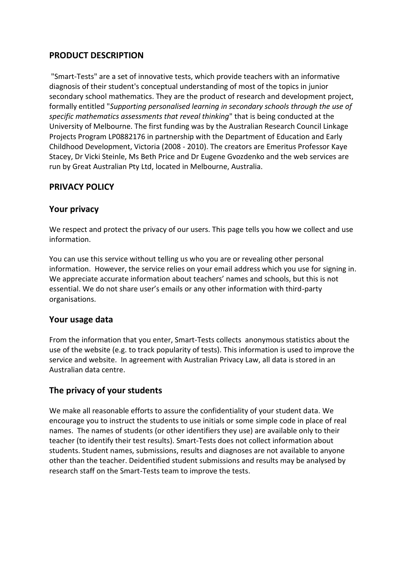# **PRODUCT DESCRIPTION**

"Smart-Tests" are a set of innovative tests, which provide teachers with an informative diagnosis of their student's conceptual understanding of most of the topics in junior secondary school mathematics. They are the product of research and development project, formally entitled "*Supporting personalised learning in secondary schools through the use of specific mathematics assessments that reveal thinking*" that is being conducted at the University of Melbourne. The first funding was by the Australian Research Council Linkage Projects Program LP0882176 in partnership with the Department of Education and Early Childhood Development, Victoria (2008 - 2010). The creators are Emeritus Professor Kaye Stacey, Dr Vicki Steinle, Ms Beth Price and Dr Eugene Gvozdenko and the web services are run by Great Australian Pty Ltd, located in Melbourne, Australia.

# **PRIVACY POLICY**

#### **Your privacy**

We respect and protect the privacy of our users. This page tells you how we collect and use information.

You can use this service without telling us who you are or revealing other personal information. However, the service relies on your email address which you use for signing in. We appreciate accurate information about teachers' names and schools, but this is not essential. We do not share user's emails or any other information with third-party organisations.

### **Your usage data**

From the information that you enter, Smart-Tests collects anonymous statistics about the use of the website (e.g. to track popularity of tests). This information is used to improve the service and website. In agreement with Australian Privacy Law, all data is stored in an Australian data centre.

### **The privacy of your students**

We make all reasonable efforts to assure the confidentiality of your student data. We encourage you to instruct the students to use initials or some simple code in place of real names. The names of students (or other identifiers they use) are available only to their teacher (to identify their test results). Smart-Tests does not collect information about students. Student names, submissions, results and diagnoses are not available to anyone other than the teacher. Deidentified student submissions and results may be analysed by research staff on the Smart-Tests team to improve the tests.